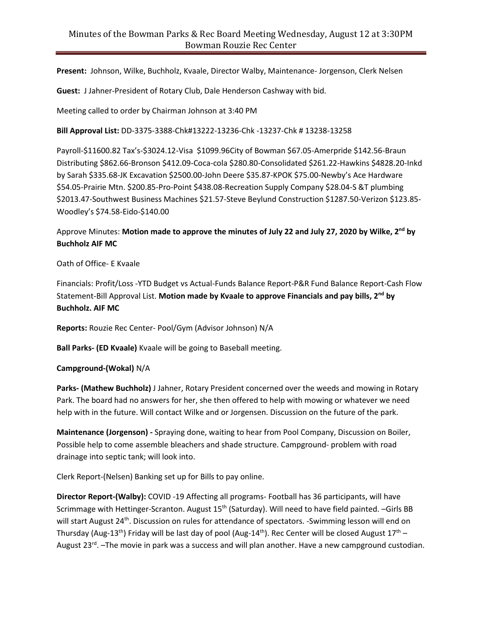**Present:** Johnson, Wilke, Buchholz, Kvaale, Director Walby, Maintenance- Jorgenson, Clerk Nelsen

**Guest:** J Jahner-President of Rotary Club, Dale Henderson Cashway with bid.

Meeting called to order by Chairman Johnson at 3:40 PM

**Bill Approval List:** DD-3375-3388-Chk#13222-13236-Chk -13237-Chk # 13238-13258

Payroll-\$11600.82 Tax's-\$3024.12-Visa \$1099.96City of Bowman \$67.05-Amerpride \$142.56-Braun Distributing \$862.66-Bronson \$412.09-Coca-cola \$280.80-Consolidated \$261.22-Hawkins \$4828.20-Inkd by Sarah \$335.68-JK Excavation \$2500.00-John Deere \$35.87-KPOK \$75.00-Newby's Ace Hardware \$54.05-Prairie Mtn. \$200.85-Pro-Point \$438.08-Recreation Supply Company \$28.04-S &T plumbing \$2013.47-Southwest Business Machines \$21.57-Steve Beylund Construction \$1287.50-Verizon \$123.85- Woodley's \$74.58-Eido-\$140.00

Approve Minutes: **Motion made to approve the minutes of July 22 and July 27, 2020 by Wilke, 2 nd by Buchholz AIF MC**

Oath of Office- E Kvaale

Financials: Profit/Loss -YTD Budget vs Actual-Funds Balance Report-P&R Fund Balance Report-Cash Flow Statement-Bill Approval List. **Motion made by Kvaale to approve Financials and pay bills, 2 nd by Buchholz. AIF MC**

**Reports:** Rouzie Rec Center- Pool/Gym (Advisor Johnson) N/A

**Ball Parks- (ED Kvaale)** Kvaale will be going to Baseball meeting.

## **Campground-(Wokal)** N/A

**Parks- (Mathew Buchholz)** J Jahner, Rotary President concerned over the weeds and mowing in Rotary Park. The board had no answers for her, she then offered to help with mowing or whatever we need help with in the future. Will contact Wilke and or Jorgensen. Discussion on the future of the park.

**Maintenance (Jorgenson) -** Spraying done, waiting to hear from Pool Company, Discussion on Boiler, Possible help to come assemble bleachers and shade structure. Campground- problem with road drainage into septic tank; will look into.

Clerk Report-(Nelsen) Banking set up for Bills to pay online.

**Director Report-(Walby):** COVID -19 Affecting all programs- Football has 36 participants, will have Scrimmage with Hettinger-Scranton. August 15<sup>th</sup> (Saturday). Will need to have field painted. -Girls BB will start August 24<sup>th</sup>. Discussion on rules for attendance of spectators. -Swimming lesson will end on Thursday (Aug-13<sup>th</sup>) Friday will be last day of pool (Aug-14<sup>th</sup>). Rec Center will be closed August 17<sup>th</sup> – August 23<sup>rd</sup>. -The movie in park was a success and will plan another. Have a new campground custodian.